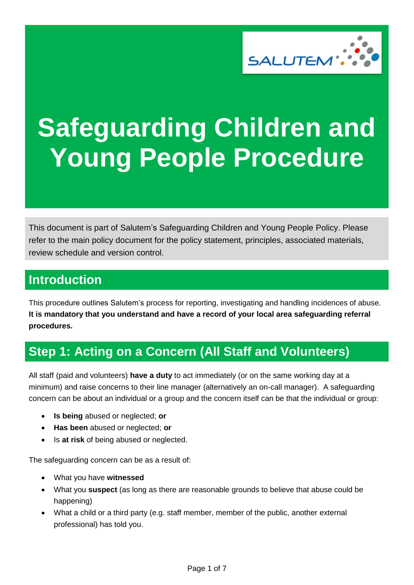

# **Safeguarding Children and Young People Procedure**

This document is part of Salutem's Safeguarding Children and Young People Policy. Please refer to the main policy document for the policy statement, principles, associated materials, review schedule and version control.

# **Introduction**

This procedure outlines Salutem's process for reporting, investigating and handling incidences of abuse. **It is mandatory that you understand and have a record of your local area safeguarding referral procedures.**

# **Step 1: Acting on a Concern (All Staff and Volunteers)**

All staff (paid and volunteers) **have a duty** to act immediately (or on the same working day at a minimum) and raise concerns to their line manager (alternatively an on-call manager). A safeguarding concern can be about an individual or a group and the concern itself can be that the individual or group:

- **Is being** abused or neglected; **or**
- **Has been** abused or neglected; **or**
- Is **at risk** of being abused or neglected.

The safeguarding concern can be as a result of:

- What you have **witnessed**
- What you **suspect** (as long as there are reasonable grounds to believe that abuse could be happening)
- What a child or a third party (e.g. staff member, member of the public, another external professional) has told you.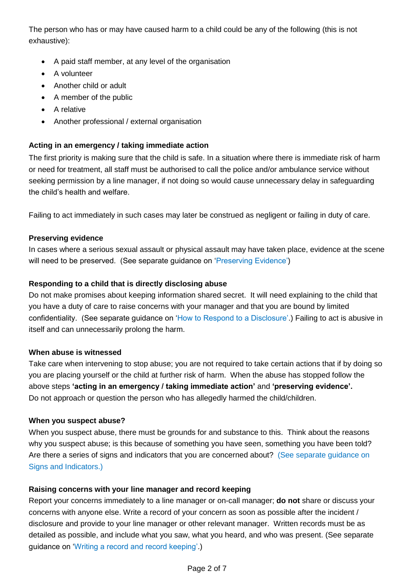The person who has or may have caused harm to a child could be any of the following (this is not exhaustive):

- A paid staff member, at any level of the organisation
- A volunteer
- Another child or adult
- A member of the public
- A relative
- Another professional / external organisation

## **Acting in an emergency / taking immediate action**

The first priority is making sure that the child is safe. In a situation where there is immediate risk of harm or need for treatment, all staff must be authorised to call the police and/or ambulance service without seeking permission by a line manager, if not doing so would cause unnecessary delay in safeguarding the child's health and welfare.

Failing to act immediately in such cases may later be construed as negligent or failing in duty of care.

## **Preserving evidence**

In cases where a serious sexual assault or physical assault may have taken place, evidence at the scene will need to be preserved. (See separate guidance on 'Preserving Evidence')

## **Responding to a child that is directly disclosing abuse**

Do not make promises about keeping information shared secret. It will need explaining to the child that you have a duty of care to raise concerns with your manager and that you are bound by limited confidentiality. (See separate guidance on 'How to Respond to a Disclosure'.) Failing to act is abusive in itself and can unnecessarily prolong the harm.

## **When abuse is witnessed**

Take care when intervening to stop abuse; you are not required to take certain actions that if by doing so you are placing yourself or the child at further risk of harm. When the abuse has stopped follow the above steps **'acting in an emergency / taking immediate action'** and **'preserving evidence'.** Do not approach or question the person who has allegedly harmed the child/children.

## **When you suspect abuse?**

When you suspect abuse, there must be grounds for and substance to this. Think about the reasons why you suspect abuse; is this because of something you have seen, something you have been told? Are there a series of signs and indicators that you are concerned about? (See separate guidance on Signs and Indicators.)

## **Raising concerns with your line manager and record keeping**

Report your concerns immediately to a line manager or on-call manager; **do not** share or discuss your concerns with anyone else. Write a record of your concern as soon as possible after the incident / disclosure and provide to your line manager or other relevant manager. Written records must be as detailed as possible, and include what you saw, what you heard, and who was present. (See separate guidance on 'Writing a record and record keeping'.)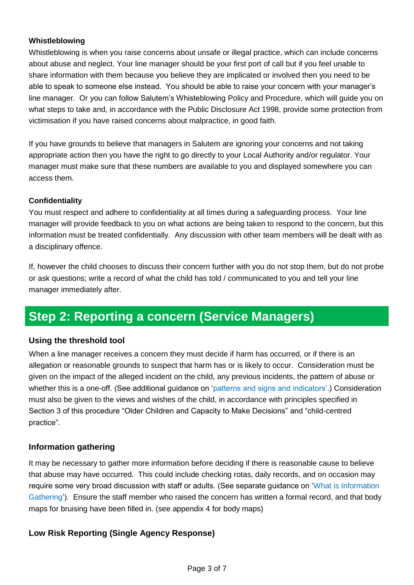## **Whistleblowing**

Whistleblowing is when you raise concerns about unsafe or illegal practice, which can include concerns about abuse and neglect. Your line manager should be your first port of call but if you feel unable to share information with them because you believe they are implicated or involved then you need to be able to speak to someone else instead. You should be able to raise your concern with your manager's line manager. Or you can follow Salutem's Whisteblowing Policy and Procedure, which will guide you on what steps to take and, in accordance with the Public Disclosure Act 1998, provide some protection from victimisation if you have raised concerns about malpractice, in good faith.

If you have grounds to believe that managers in Salutem are ignoring your concerns and not taking appropriate action then you have the right to go directly to your Local Authority and/or regulator. Your manager must make sure that these numbers are available to you and displayed somewhere you can access them.

## **Confidentiality**

You must respect and adhere to confidentiality at all times during a safeguarding process. Your line manager will provide feedback to you on what actions are being taken to respond to the concern, but this information must be treated confidentially. Any discussion with other team members will be dealt with as a disciplinary offence.

If, however the child chooses to discuss their concern further with you do not stop them, but do not probe or ask questions; write a record of what the child has told / communicated to you and tell your line manager immediately after.

# **Step 2: Reporting a concern (Service Managers)**

## **Using the threshold tool**

When a line manager receives a concern they must decide if harm has occurred, or if there is an allegation or reasonable grounds to suspect that harm has or is likely to occur. Consideration must be given on the impact of the alleged incident on the child, any previous incidents, the pattern of abuse or whether this is a one-off. (See additional guidance on 'patterns and signs and indicators'.) Consideration must also be given to the views and wishes of the child, in accordance with principles specified in Section 3 of this procedure "Older Children and Capacity to Make Decisions" and "child-centred practice".

## **Information gathering**

It may be necessary to gather more information before deciding if there is reasonable cause to believe that abuse may have occurred. This could include checking rotas, daily records, and on occasion may require some very broad discussion with staff or adults. (See separate guidance on 'What is Information Gathering').Ensure the staff member who raised the concern has written a formal record, and that body maps for bruising have been filled in. (see appendix 4 for body maps)

## **Low Risk Reporting (Single Agency Response)**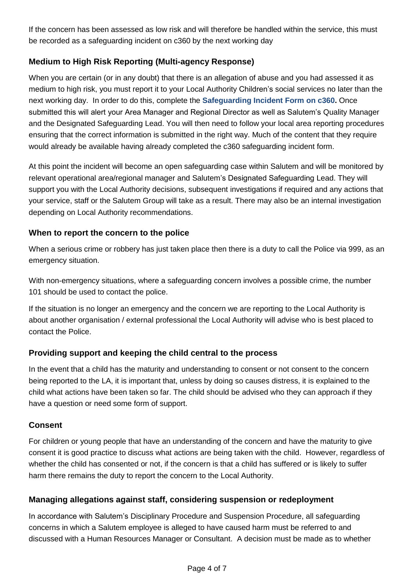If the concern has been assessed as low risk and will therefore be handled within the service, this must be recorded as a safeguarding incident on c360 by the next working day

## **Medium to High Risk Reporting (Multi-agency Response)**

When you are certain (or in any doubt) that there is an allegation of abuse and you had assessed it as medium to high risk, you must report it to your Local Authority Children's social services no later than the next working day. In order to do this, complete the **Safeguarding Incident Form on c360.** Once submitted this will alert your Area Manager and Regional Director as well as Salutem's Quality Manager and the Designated Safeguarding Lead. You will then need to follow your local area reporting procedures ensuring that the correct information is submitted in the right way. Much of the content that they require would already be available having already completed the c360 safeguarding incident form.

At this point the incident will become an open safeguarding case within Salutem and will be monitored by relevant operational area/regional manager and Salutem's Designated Safeguarding Lead. They will support you with the Local Authority decisions, subsequent investigations if required and any actions that your service, staff or the Salutem Group will take as a result. There may also be an internal investigation depending on Local Authority recommendations.

## **When to report the concern to the police**

When a serious crime or robbery has just taken place then there is a duty to call the Police via 999, as an emergency situation.

With non-emergency situations, where a safeguarding concern involves a possible crime, the number 101 should be used to contact the police.

If the situation is no longer an emergency and the concern we are reporting to the Local Authority is about another organisation / external professional the Local Authority will advise who is best placed to contact the Police.

## **Providing support and keeping the child central to the process**

In the event that a child has the maturity and understanding to consent or not consent to the concern being reported to the LA, it is important that, unless by doing so causes distress, it is explained to the child what actions have been taken so far. The child should be advised who they can approach if they have a question or need some form of support.

## **Consent**

For children or young people that have an understanding of the concern and have the maturity to give consent it is good practice to discuss what actions are being taken with the child. However, regardless of whether the child has consented or not, if the concern is that a child has suffered or is likely to suffer harm there remains the duty to report the concern to the Local Authority.

## **Managing allegations against staff, considering suspension or redeployment**

In accordance with Salutem's Disciplinary Procedure and Suspension Procedure, all safeguarding concerns in which a Salutem employee is alleged to have caused harm must be referred to and discussed with a Human Resources Manager or Consultant. A decision must be made as to whether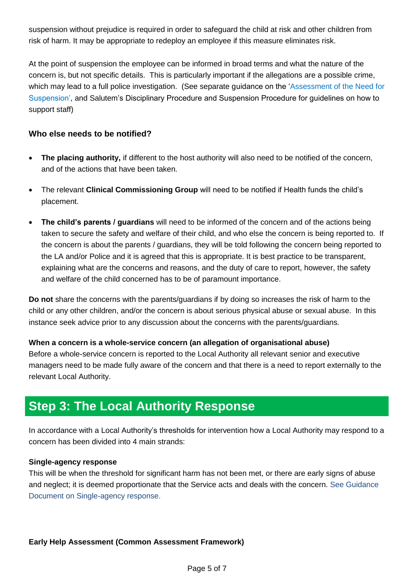suspension without prejudice is required in order to safeguard the child at risk and other children from risk of harm. It may be appropriate to redeploy an employee if this measure eliminates risk.

At the point of suspension the employee can be informed in broad terms and what the nature of the concern is, but not specific details. This is particularly important if the allegations are a possible crime, which may lead to a full police investigation. (See separate guidance on the 'Assessment of the Need for Suspension', and Salutem's Disciplinary Procedure and Suspension Procedure for guidelines on how to support staff)

## **Who else needs to be notified?**

- **The placing authority,** if different to the host authority will also need to be notified of the concern, and of the actions that have been taken.
- The relevant **Clinical Commissioning Group** will need to be notified if Health funds the child's placement.
- **The child's parents / guardians** will need to be informed of the concern and of the actions being taken to secure the safety and welfare of their child, and who else the concern is being reported to. If the concern is about the parents / guardians, they will be told following the concern being reported to the LA and/or Police and it is agreed that this is appropriate. It is best practice to be transparent, explaining what are the concerns and reasons, and the duty of care to report, however, the safety and welfare of the child concerned has to be of paramount importance.

**Do not** share the concerns with the parents/guardians if by doing so increases the risk of harm to the child or any other children, and/or the concern is about serious physical abuse or sexual abuse. In this instance seek advice prior to any discussion about the concerns with the parents/guardians.

## **When a concern is a whole-service concern (an allegation of organisational abuse)**

Before a whole-service concern is reported to the Local Authority all relevant senior and executive managers need to be made fully aware of the concern and that there is a need to report externally to the relevant Local Authority.

## **Step 3: The Local Authority Response**

In accordance with a Local Authority's thresholds for intervention how a Local Authority may respond to a concern has been divided into 4 main strands:

#### **Single-agency response**

This will be when the threshold for significant harm has not been met, or there are early signs of abuse and neglect; it is deemed proportionate that the Service acts and deals with the concern. See Guidance Document on Single-agency response.

## **Early Help Assessment (Common Assessment Framework)**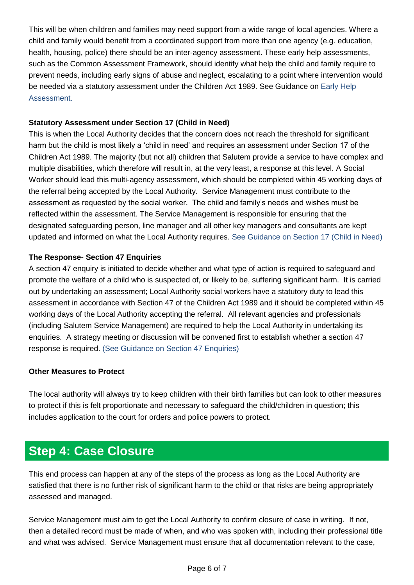This will be when children and families may need support from a wide range of local agencies. Where a child and family would benefit from a coordinated support from more than one agency (e.g. education, health, housing, police) there should be an inter-agency assessment. These early help assessments, such as the Common Assessment Framework, should identify what help the child and family require to prevent needs, including early signs of abuse and neglect, escalating to a point where intervention would be needed via a statutory assessment under the Children Act 1989. See Guidance on Early Help Assessment.

## **Statutory Assessment under Section 17 (Child in Need)**

This is when the Local Authority decides that the concern does not reach the threshold for significant harm but the child is most likely a 'child in need' and requires an assessment under Section 17 of the Children Act 1989. The majority (but not all) children that Salutem provide a service to have complex and multiple disabilities, which therefore will result in, at the very least, a response at this level. A Social Worker should lead this multi-agency assessment, which should be completed within 45 working days of the referral being accepted by the Local Authority. Service Management must contribute to the assessment as requested by the social worker. The child and family's needs and wishes must be reflected within the assessment. The Service Management is responsible for ensuring that the designated safeguarding person, line manager and all other key managers and consultants are kept updated and informed on what the Local Authority requires. See Guidance on Section 17 (Child in Need)

## **The Response- Section 47 Enquiries**

A section 47 enquiry is initiated to decide whether and what type of action is required to safeguard and promote the welfare of a child who is suspected of, or likely to be, suffering significant harm. It is carried out by undertaking an assessment; Local Authority social workers have a statutory duty to lead this assessment in accordance with Section 47 of the Children Act 1989 and it should be completed within 45 working days of the Local Authority accepting the referral. All relevant agencies and professionals (including Salutem Service Management) are required to help the Local Authority in undertaking its enquiries. A strategy meeting or discussion will be convened first to establish whether a section 47 response is required. (See Guidance on Section 47 Enquiries)

## **Other Measures to Protect**

The local authority will always try to keep children with their birth families but can look to other measures to protect if this is felt proportionate and necessary to safeguard the child/children in question; this includes application to the court for orders and police powers to protect.

# **Step 4: Case Closure**

This end process can happen at any of the steps of the process as long as the Local Authority are satisfied that there is no further risk of significant harm to the child or that risks are being appropriately assessed and managed.

Service Management must aim to get the Local Authority to confirm closure of case in writing. If not, then a detailed record must be made of when, and who was spoken with, including their professional title and what was advised. Service Management must ensure that all documentation relevant to the case,